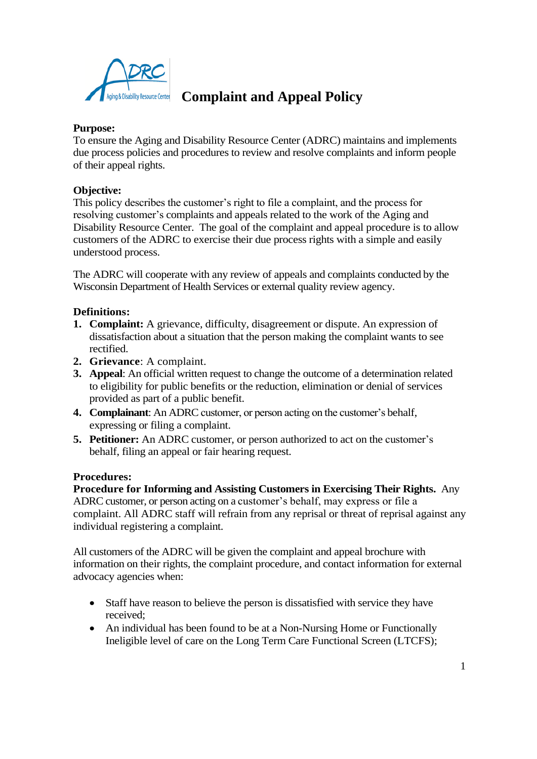

# *ing & Disability Resource Center* **Complaint and Appeal Policy**

#### **Purpose:**

To ensure the Aging and Disability Resource Center (ADRC) maintains and implements due process policies and procedures to review and resolve complaints and inform people of their appeal rights.

#### **Objective:**

This policy describes the customer's right to file a complaint, and the process for resolving customer's complaints and appeals related to the work of the Aging and Disability Resource Center. The goal of the complaint and appeal procedure is to allow customers of the ADRC to exercise their due process rights with a simple and easily understood process.

The ADRC will cooperate with any review of appeals and complaints conducted by the Wisconsin Department of Health Services or external quality review agency.

#### **Definitions:**

- **1. Complaint:** A grievance, difficulty, disagreement or dispute. An expression of dissatisfaction about a situation that the person making the complaint wants to see rectified.
- **2. Grievance**: A complaint.
- **3. Appeal**: An official written request to change the outcome of a determination related to eligibility for public benefits or the reduction, elimination or denial of services provided as part of a public benefit.
- **4. Complainant**: An ADRC customer, or person acting on the customer's behalf, expressing or filing a complaint.
- **5. Petitioner:** An ADRC customer, or person authorized to act on the customer's behalf, filing an appeal or fair hearing request.

#### **Procedures:**

**Procedure for Informing and Assisting Customers in Exercising Their Rights.** Any ADRC customer, or person acting on a customer's behalf, may express or file a complaint. All ADRC staff will refrain from any reprisal or threat of reprisal against any individual registering a complaint.

All customers of the ADRC will be given the complaint and appeal brochure with information on their rights, the complaint procedure, and contact information for external advocacy agencies when:

- Staff have reason to believe the person is dissatisfied with service they have received;
- An individual has been found to be at a Non-Nursing Home or Functionally Ineligible level of care on the Long Term Care Functional Screen (LTCFS);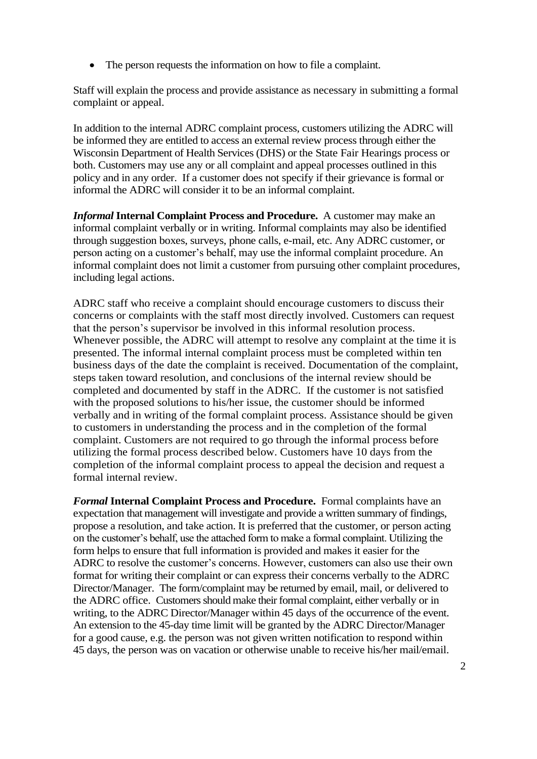• The person requests the information on how to file a complaint.

Staff will explain the process and provide assistance as necessary in submitting a formal complaint or appeal.

In addition to the internal ADRC complaint process, customers utilizing the ADRC will be informed they are entitled to access an external review process through either the Wisconsin Department of Health Services (DHS) or the State Fair Hearings process or both. Customers may use any or all complaint and appeal processes outlined in this policy and in any order. If a customer does not specify if their grievance is formal or informal the ADRC will consider it to be an informal complaint.

*Informal* **Internal Complaint Process and Procedure.** A customer may make an informal complaint verbally or in writing. Informal complaints may also be identified through suggestion boxes, surveys, phone calls, e-mail, etc. Any ADRC customer, or person acting on a customer's behalf, may use the informal complaint procedure. An informal complaint does not limit a customer from pursuing other complaint procedures, including legal actions.

ADRC staff who receive a complaint should encourage customers to discuss their concerns or complaints with the staff most directly involved. Customers can request that the person's supervisor be involved in this informal resolution process. Whenever possible, the ADRC will attempt to resolve any complaint at the time it is presented. The informal internal complaint process must be completed within ten business days of the date the complaint is received. Documentation of the complaint, steps taken toward resolution, and conclusions of the internal review should be completed and documented by staff in the ADRC. If the customer is not satisfied with the proposed solutions to his/her issue, the customer should be informed verbally and in writing of the formal complaint process. Assistance should be given to customers in understanding the process and in the completion of the formal complaint. Customers are not required to go through the informal process before utilizing the formal process described below. Customers have 10 days from the completion of the informal complaint process to appeal the decision and request a formal internal review.

*Formal* **Internal Complaint Process and Procedure.** Formal complaints have an expectation that management will investigate and provide a written summary of findings, propose a resolution, and take action. It is preferred that the customer, or person acting on the customer's behalf, use the attached form to make a formal complaint. Utilizing the form helps to ensure that full information is provided and makes it easier for the ADRC to resolve the customer's concerns. However, customers can also use their own format for writing their complaint or can express their concerns verbally to the ADRC Director/Manager. The form/complaint may be returned by email, mail, or delivered to the ADRC office. Customers should make their formal complaint, either verbally or in writing, to the ADRC Director/Manager within 45 days of the occurrence of the event. An extension to the 45-day time limit will be granted by the ADRC Director/Manager for a good cause, e.g. the person was not given written notification to respond within 45 days, the person was on vacation or otherwise unable to receive his/her mail/email.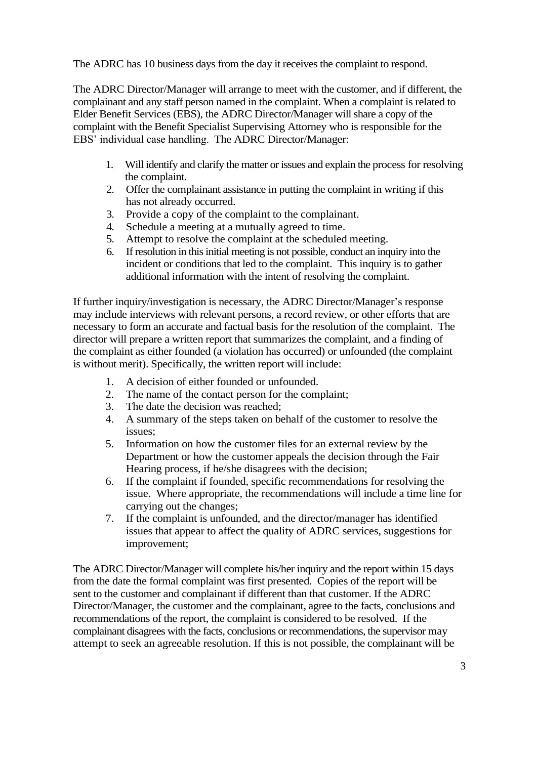The ADRC has 10 business days from the day it receives the complaint to respond.

The ADRC Director/Manager will arrange to meet with the customer, and if different, the complainant and any staff person named in the complaint. When a complaint is related to Elder Benefit Services (EBS), the ADRC Director/Manager will share a copy of the complaint with the Benefit Specialist Supervising Attorney who is responsible for the EBS' individual case handling. The ADRC Director/Manager:

- 1. Will identify and clarify the matter or issues and explain the process for resolving the complaint.
- 2. Offer the complainant assistance in putting the complaint in writing if this has not already occurred.
- 3. Provide a copy of the complaint to the complainant.
- 4. Schedule a meeting at a mutually agreed to time.
- 5. Attempt to resolve the complaint at the scheduled meeting.
- 6. If resolution in this initial meeting is not possible, conduct an inquiry into the incident or conditions that led to the complaint. This inquiry is to gather additional information with the intent of resolving the complaint.

If further inquiry/investigation is necessary, the ADRC Director/Manager's response may include interviews with relevant persons, a record review, or other efforts that are necessary to form an accurate and factual basis for the resolution of the complaint. The director will prepare a written report that summarizes the complaint, and a finding of the complaint as either founded (a violation has occurred) or unfounded (the complaint is without merit). Specifically, the written report will include:

- 1. A decision of either founded or unfounded.
- 2. The name of the contact person for the complaint;
- 3. The date the decision was reached;
- 4. A summary of the steps taken on behalf of the customer to resolve the issues;
- 5. Information on how the customer files for an external review by the Department or how the customer appeals the decision through the Fair Hearing process, if he/she disagrees with the decision;
- 6. If the complaint if founded, specific recommendations for resolving the issue. Where appropriate, the recommendations will include a time line for carrying out the changes;
- 7. If the complaint is unfounded, and the director/manager has identified issues that appear to affect the quality of ADRC services, suggestions for improvement;

The ADRC Director/Manager will complete his/her inquiry and the report within 15 days from the date the formal complaint was first presented. Copies of the report will be sent to the customer and complainant if different than that customer. If the ADRC Director/Manager, the customer and the complainant, agree to the facts, conclusions and recommendations of the report, the complaint is considered to be resolved. If the complainant disagrees with the facts, conclusions or recommendations, the supervisor may attempt to seek an agreeable resolution. If this is not possible, the complainant will be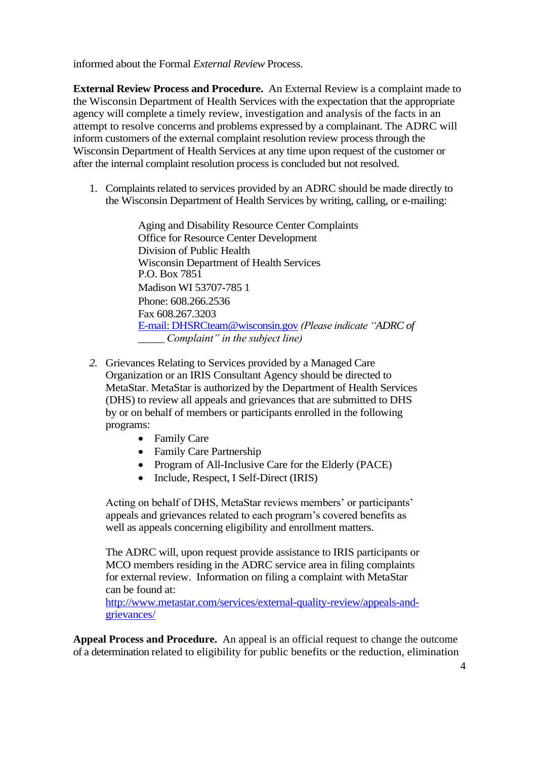informed about the Formal *External Review* Process.

**External Review Process and Procedure.** An External Review is a complaint made to the Wisconsin Department of Health Services with the expectation that the appropriate agency will complete a timely review, investigation and analysis of the facts in an attempt to resolve concerns and problems expressed by a complainant. The ADRC will inform customers of the external complaint resolution review process through the Wisconsin Department of Health Services at any time upon request of the customer or after the internal complaint resolution process is concluded but not resolved.

1. Complaints related to services provided by an ADRC should be made directly to the Wisconsin Department of Health Services by writing, calling, or e-mailing:

> Aging and Disability Resource Center Complaints Office for Resource Center Development Division of Public Health Wisconsin Department of Health Services P.O. Box 7851 Madison WI 53707-785 1 Phone: 608.266.2536 Fax 608.267.3203 [E-mail: DHSRCteam@wisconsin.gov](mailto:E-mail:%20DHSRCteam@wisconsin.gov) *(Please indicate "ADRC of \_\_\_\_\_ Complaint" in the subject line)*

- *2.* Grievances Relating to Services provided by a Managed Care Organization or an IRIS Consultant Agency should be directed to MetaStar. MetaStar is authorized by the Department of Health Services (DHS) to review all appeals and grievances that are submitted to DHS by or on behalf of members or participants enrolled in the following programs:
	- Family Care
	- Family Care Partnership
	- Program of All-Inclusive Care for the Elderly (PACE)
	- Include, Respect, I Self-Direct (IRIS)

Acting on behalf of DHS, MetaStar reviews members' or participants' appeals and grievances related to each program's covered benefits as well as appeals concerning eligibility and enrollment matters.

The ADRC will, upon request provide assistance to IRIS participants or MCO members residing in the ADRC service area in filing complaints for external review. Information on filing a complaint with MetaStar can be found at:

[http://www.metastar.com/services/external-quality-review/appeals-and](http://www.metastar.com/services/external-quality-review/appeals-and-grievances/)[grievances/](http://www.metastar.com/services/external-quality-review/appeals-and-grievances/)

**Appeal Process and Procedure.** An appeal is an official request to change the outcome of a determination related to eligibility for public benefits or the reduction, elimination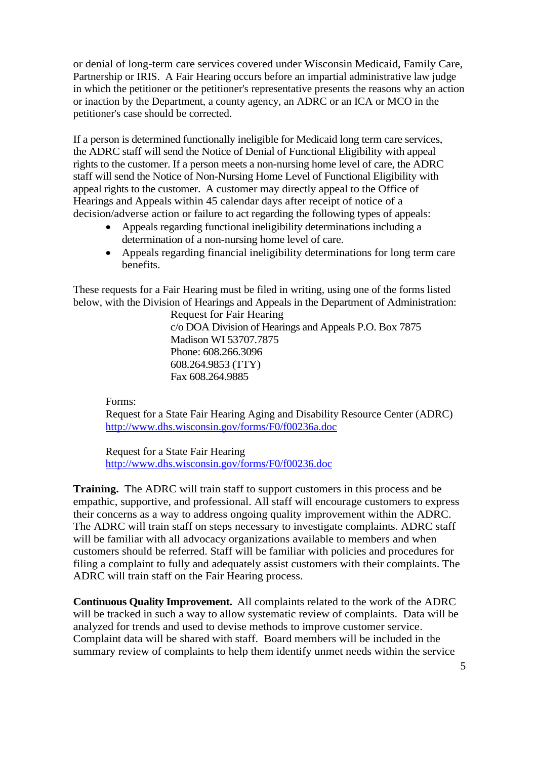or denial of long-term care services covered under Wisconsin Medicaid, Family Care, Partnership or IRIS. A Fair Hearing occurs before an impartial administrative law judge in which the petitioner or the petitioner's representative presents the reasons why an action or inaction by the Department, a county agency, an ADRC or an ICA or MCO in the petitioner's case should be corrected.

If a person is determined functionally ineligible for Medicaid long term care services, the ADRC staff will send the Notice of Denial of Functional Eligibility with appeal rights to the customer. If a person meets a non-nursing home level of care, the ADRC staff will send the Notice of Non-Nursing Home Level of Functional Eligibility with appeal rights to the customer. A customer may directly appeal to the Office of Hearings and Appeals within 45 calendar days after receipt of notice of a decision/adverse action or failure to act regarding the following types of appeals:

- Appeals regarding functional ineligibility determinations including a determination of a non-nursing home level of care.
- Appeals regarding financial ineligibility determinations for long term care benefits.

These requests for a Fair Hearing must be filed in writing, using one of the forms listed below, with the Division of Hearings and Appeals in the Department of Administration:

> Request for Fair Hearing c/o DOA Division of Hearings and Appeals P.O. Box 7875 Madison WI 53707.7875 Phone: 608.266.3096 608.264.9853 (TTY) Fax 608.264.9885

Forms:

Request for a State Fair Hearing Aging and Disability Resource Center (ADRC) <http://www.dhs.wisconsin.gov/forms/F0/f00236a.doc>

Request for a State Fair Hearing <http://www.dhs.wisconsin.gov/forms/F0/f00236.doc>

**Training.** The ADRC will train staff to support customers in this process and be empathic, supportive, and professional. All staff will encourage customers to express their concerns as a way to address ongoing quality improvement within the ADRC. The ADRC will train staff on steps necessary to investigate complaints. ADRC staff will be familiar with all advocacy organizations available to members and when customers should be referred. Staff will be familiar with policies and procedures for filing a complaint to fully and adequately assist customers with their complaints. The ADRC will train staff on the Fair Hearing process.

**Continuous Quality Improvement.** All complaints related to the work of the ADRC will be tracked in such a way to allow systematic review of complaints. Data will be analyzed for trends and used to devise methods to improve customer service. Complaint data will be shared with staff. Board members will be included in the summary review of complaints to help them identify unmet needs within the service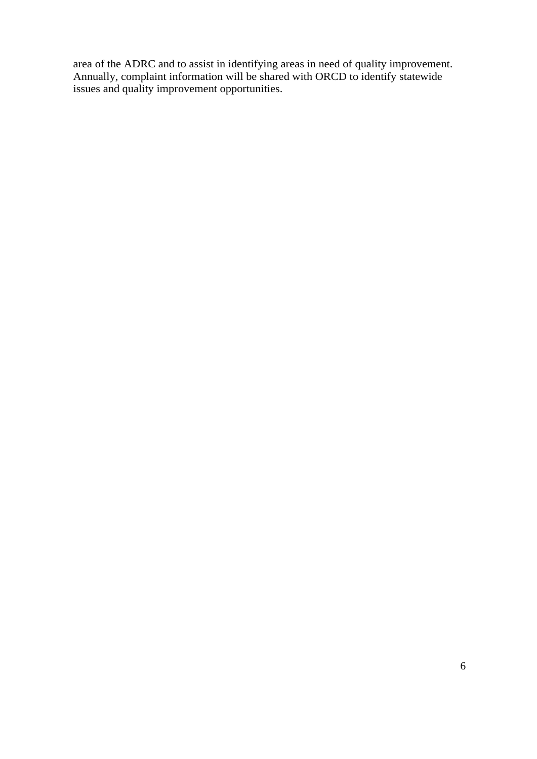area of the ADRC and to assist in identifying areas in need of quality improvement. Annually, complaint information will be shared with ORCD to identify statewide issues and quality improvement opportunities.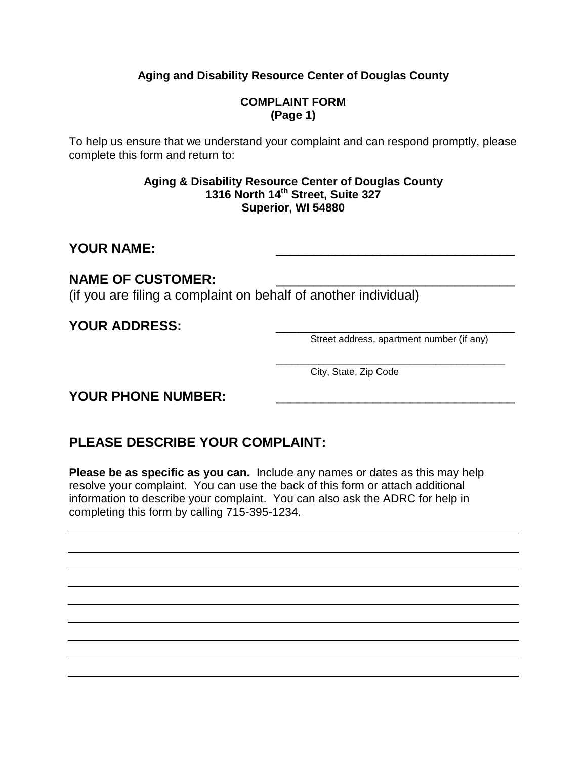## **Aging and Disability Resource Center of Douglas County**

### **COMPLAINT FORM (Page 1)**

To help us ensure that we understand your complaint and can respond promptly, please complete this form and return to:

#### **Aging & Disability Resource Center of Douglas County 1316 North 14th Street, Suite 327 Superior, WI 54880**

## YOUR NAME:

## NAME OF CUSTOMER:

(if you are filing a complaint on behalf of another individual)

**YOUR ADDRESS:**  $\frac{2}{\sqrt{2}}$  **Street address, apartment number (if any)** 

 **\_\_\_\_\_\_\_\_\_\_\_\_\_\_\_\_\_\_\_\_\_\_\_\_\_\_\_\_\_\_\_\_\_\_\_\_\_\_\_\_\_\_\_** City, State, Zip Code

## YOUR PHONE NUMBER:

# **PLEASE DESCRIBE YOUR COMPLAINT:**

**Please be as specific as you can.** Include any names or dates as this may help resolve your complaint. You can use the back of this form or attach additional information to describe your complaint. You can also ask the ADRC for help in completing this form by calling 715-395-1234.